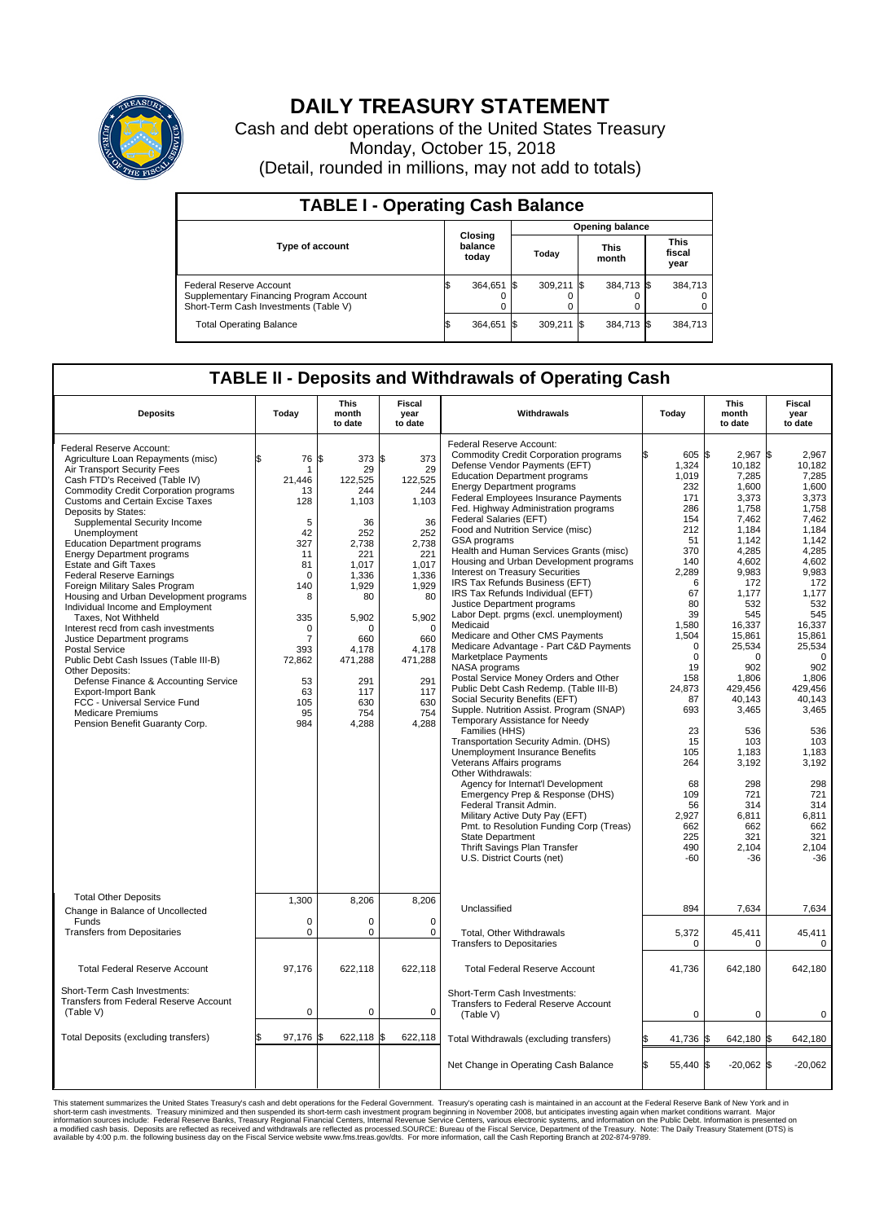

## **DAILY TREASURY STATEMENT**

Cash and debt operations of the United States Treasury Monday, October 15, 2018 (Detail, rounded in millions, may not add to totals)

| <b>TABLE I - Operating Cash Balance</b>                                                                     |  |                             |  |                        |  |                      |  |                               |  |  |  |
|-------------------------------------------------------------------------------------------------------------|--|-----------------------------|--|------------------------|--|----------------------|--|-------------------------------|--|--|--|
|                                                                                                             |  | Closing<br>balance<br>today |  | <b>Opening balance</b> |  |                      |  |                               |  |  |  |
| Type of account                                                                                             |  |                             |  | Today                  |  | <b>This</b><br>month |  | <b>This</b><br>fiscal<br>year |  |  |  |
| Federal Reserve Account<br>Supplementary Financing Program Account<br>Short-Term Cash Investments (Table V) |  | 364.651                     |  | $309.211$ \\$          |  | 384,713 \$           |  | 384.713                       |  |  |  |
| <b>Total Operating Balance</b>                                                                              |  | 364,651 \$                  |  | 309,211 \$             |  | 384,713 \$           |  | 384,713                       |  |  |  |

## **TABLE II - Deposits and Withdrawals of Operating Cash**

| <b>Deposits</b>                                                                                                                                                                                                                                                                                                                                                                                                                                                                                                                                                                                                                                                                                                                                                                                                                                                                                                 | Today                                                                                                                                                                        | This<br>month<br>to date                                                                                                                                                                   | <b>Fiscal</b><br>year<br>to date                                                                                                                                                        | Withdrawals                                                                                                                                                                                                                                                                                                                                                                                                                                                                                                                                                                                                                                                                                                                                                                                                                                                                                                                                                                                                                                                                                                                                                                                                                                                                                                                                                                                      | Today                                                                                                                                                                                                                                                                                   | <b>This</b><br>month<br>to date                                                                                                                                                                                                                                                                                                  | <b>Fiscal</b><br>year<br>to date                                                                                                                                                                                                                                                                                                 |
|-----------------------------------------------------------------------------------------------------------------------------------------------------------------------------------------------------------------------------------------------------------------------------------------------------------------------------------------------------------------------------------------------------------------------------------------------------------------------------------------------------------------------------------------------------------------------------------------------------------------------------------------------------------------------------------------------------------------------------------------------------------------------------------------------------------------------------------------------------------------------------------------------------------------|------------------------------------------------------------------------------------------------------------------------------------------------------------------------------|--------------------------------------------------------------------------------------------------------------------------------------------------------------------------------------------|-----------------------------------------------------------------------------------------------------------------------------------------------------------------------------------------|--------------------------------------------------------------------------------------------------------------------------------------------------------------------------------------------------------------------------------------------------------------------------------------------------------------------------------------------------------------------------------------------------------------------------------------------------------------------------------------------------------------------------------------------------------------------------------------------------------------------------------------------------------------------------------------------------------------------------------------------------------------------------------------------------------------------------------------------------------------------------------------------------------------------------------------------------------------------------------------------------------------------------------------------------------------------------------------------------------------------------------------------------------------------------------------------------------------------------------------------------------------------------------------------------------------------------------------------------------------------------------------------------|-----------------------------------------------------------------------------------------------------------------------------------------------------------------------------------------------------------------------------------------------------------------------------------------|----------------------------------------------------------------------------------------------------------------------------------------------------------------------------------------------------------------------------------------------------------------------------------------------------------------------------------|----------------------------------------------------------------------------------------------------------------------------------------------------------------------------------------------------------------------------------------------------------------------------------------------------------------------------------|
| Federal Reserve Account:<br>Agriculture Loan Repayments (misc)<br>Air Transport Security Fees<br>Cash FTD's Received (Table IV)<br>Commodity Credit Corporation programs<br><b>Customs and Certain Excise Taxes</b><br>Deposits by States:<br>Supplemental Security Income<br>Unemployment<br><b>Education Department programs</b><br><b>Energy Department programs</b><br><b>Estate and Gift Taxes</b><br><b>Federal Reserve Earnings</b><br>Foreign Military Sales Program<br>Housing and Urban Development programs<br>Individual Income and Employment<br>Taxes. Not Withheld<br>Interest recd from cash investments<br>Justice Department programs<br><b>Postal Service</b><br>Public Debt Cash Issues (Table III-B)<br>Other Deposits:<br>Defense Finance & Accounting Service<br><b>Export-Import Bank</b><br>FCC - Universal Service Fund<br><b>Medicare Premiums</b><br>Pension Benefit Guaranty Corp. | 76<br>\$<br>1<br>21,446<br>13<br>128<br>5<br>42<br>327<br>11<br>81<br>$\mathbf 0$<br>140<br>8<br>335<br>0<br>$\overline{7}$<br>393<br>72,862<br>53<br>63<br>105<br>95<br>984 | 373 \$<br>l\$<br>29<br>122,525<br>244<br>1,103<br>36<br>252<br>2.738<br>221<br>1.017<br>1,336<br>1,929<br>80<br>5.902<br>O<br>660<br>4,178<br>471,288<br>291<br>117<br>630<br>754<br>4,288 | 373<br>29<br>122,525<br>244<br>1,103<br>36<br>252<br>2.738<br>221<br>1.017<br>1,336<br>1,929<br>80<br>5,902<br>$\Omega$<br>660<br>4,178<br>471,288<br>291<br>117<br>630<br>754<br>4,288 | Federal Reserve Account:<br><b>Commodity Credit Corporation programs</b><br>Defense Vendor Payments (EFT)<br><b>Education Department programs</b><br><b>Energy Department programs</b><br><b>Federal Employees Insurance Payments</b><br>Fed. Highway Administration programs<br>Federal Salaries (EFT)<br>Food and Nutrition Service (misc)<br>GSA programs<br>Health and Human Services Grants (misc)<br>Housing and Urban Development programs<br>Interest on Treasury Securities<br>IRS Tax Refunds Business (EFT)<br>IRS Tax Refunds Individual (EFT)<br>Justice Department programs<br>Labor Dept. prgms (excl. unemployment)<br>Medicaid<br>Medicare and Other CMS Payments<br>Medicare Advantage - Part C&D Payments<br>Marketplace Payments<br>NASA programs<br>Postal Service Money Orders and Other<br>Public Debt Cash Redemp. (Table III-B)<br>Social Security Benefits (EFT)<br>Supple. Nutrition Assist. Program (SNAP)<br>Temporary Assistance for Needy<br>Families (HHS)<br>Transportation Security Admin. (DHS)<br>Unemployment Insurance Benefits<br>Veterans Affairs programs<br>Other Withdrawals:<br>Agency for Internat'l Development<br>Emergency Prep & Response (DHS)<br>Federal Transit Admin.<br>Military Active Duty Pay (EFT)<br>Pmt. to Resolution Funding Corp (Treas)<br><b>State Department</b><br>Thrift Savings Plan Transfer<br>U.S. District Courts (net) | 605 \$<br>1,324<br>1.019<br>232<br>171<br>286<br>154<br>212<br>51<br>370<br>140<br>2,289<br>6<br>67<br>80<br>39<br>1,580<br>1,504<br>$\mathbf 0$<br>$\mathbf 0$<br>19<br>158<br>24,873<br>87<br>693<br>23<br>15<br>105<br>264<br>68<br>109<br>56<br>2,927<br>662<br>225<br>490<br>$-60$ | 2,967 \$<br>10,182<br>7,285<br>1,600<br>3,373<br>1,758<br>7,462<br>1,184<br>1,142<br>4,285<br>4,602<br>9,983<br>172<br>1,177<br>532<br>545<br>16,337<br>15,861<br>25,534<br>$\Omega$<br>902<br>1,806<br>429,456<br>40,143<br>3,465<br>536<br>103<br>1.183<br>3,192<br>298<br>721<br>314<br>6,811<br>662<br>321<br>2,104<br>$-36$ | 2,967<br>10,182<br>7,285<br>1,600<br>3,373<br>1,758<br>7,462<br>1,184<br>1,142<br>4.285<br>4,602<br>9,983<br>172<br>1,177<br>532<br>545<br>16,337<br>15,861<br>25,534<br>$\mathbf 0$<br>902<br>1,806<br>429,456<br>40,143<br>3,465<br>536<br>103<br>1,183<br>3,192<br>298<br>721<br>314<br>6,811<br>662<br>321<br>2,104<br>$-36$ |
| <b>Total Other Deposits</b><br>Change in Balance of Uncollected                                                                                                                                                                                                                                                                                                                                                                                                                                                                                                                                                                                                                                                                                                                                                                                                                                                 | 1,300                                                                                                                                                                        | 8,206                                                                                                                                                                                      | 8,206                                                                                                                                                                                   | Unclassified                                                                                                                                                                                                                                                                                                                                                                                                                                                                                                                                                                                                                                                                                                                                                                                                                                                                                                                                                                                                                                                                                                                                                                                                                                                                                                                                                                                     | 894                                                                                                                                                                                                                                                                                     | 7,634                                                                                                                                                                                                                                                                                                                            | 7,634                                                                                                                                                                                                                                                                                                                            |
| Funds<br><b>Transfers from Depositaries</b>                                                                                                                                                                                                                                                                                                                                                                                                                                                                                                                                                                                                                                                                                                                                                                                                                                                                     | $\mathbf 0$<br>$\pmb{0}$                                                                                                                                                     | $\Omega$<br>0                                                                                                                                                                              | $\Omega$<br>$\mathbf 0$                                                                                                                                                                 | Total, Other Withdrawals<br><b>Transfers to Depositaries</b>                                                                                                                                                                                                                                                                                                                                                                                                                                                                                                                                                                                                                                                                                                                                                                                                                                                                                                                                                                                                                                                                                                                                                                                                                                                                                                                                     | 5,372<br>0                                                                                                                                                                                                                                                                              | 45,411<br>0                                                                                                                                                                                                                                                                                                                      | 45,411<br>$\mathbf 0$                                                                                                                                                                                                                                                                                                            |
| <b>Total Federal Reserve Account</b>                                                                                                                                                                                                                                                                                                                                                                                                                                                                                                                                                                                                                                                                                                                                                                                                                                                                            | 97,176                                                                                                                                                                       | 622,118                                                                                                                                                                                    | 622,118                                                                                                                                                                                 | <b>Total Federal Reserve Account</b>                                                                                                                                                                                                                                                                                                                                                                                                                                                                                                                                                                                                                                                                                                                                                                                                                                                                                                                                                                                                                                                                                                                                                                                                                                                                                                                                                             | 41,736                                                                                                                                                                                                                                                                                  | 642,180                                                                                                                                                                                                                                                                                                                          | 642,180                                                                                                                                                                                                                                                                                                                          |
| Short-Term Cash Investments:<br>Transfers from Federal Reserve Account<br>(Table V)                                                                                                                                                                                                                                                                                                                                                                                                                                                                                                                                                                                                                                                                                                                                                                                                                             | $\mathbf 0$                                                                                                                                                                  | $\mathbf 0$                                                                                                                                                                                | $\mathbf 0$                                                                                                                                                                             | Short-Term Cash Investments:<br>Transfers to Federal Reserve Account<br>(Table V)                                                                                                                                                                                                                                                                                                                                                                                                                                                                                                                                                                                                                                                                                                                                                                                                                                                                                                                                                                                                                                                                                                                                                                                                                                                                                                                | 0                                                                                                                                                                                                                                                                                       | 0                                                                                                                                                                                                                                                                                                                                | 0                                                                                                                                                                                                                                                                                                                                |
| Total Deposits (excluding transfers)                                                                                                                                                                                                                                                                                                                                                                                                                                                                                                                                                                                                                                                                                                                                                                                                                                                                            | 97,176                                                                                                                                                                       | 622,118 \$<br>ß.                                                                                                                                                                           | 622,118                                                                                                                                                                                 | Total Withdrawals (excluding transfers)                                                                                                                                                                                                                                                                                                                                                                                                                                                                                                                                                                                                                                                                                                                                                                                                                                                                                                                                                                                                                                                                                                                                                                                                                                                                                                                                                          | 41,736                                                                                                                                                                                                                                                                                  | 642,180 \$                                                                                                                                                                                                                                                                                                                       | 642,180                                                                                                                                                                                                                                                                                                                          |
|                                                                                                                                                                                                                                                                                                                                                                                                                                                                                                                                                                                                                                                                                                                                                                                                                                                                                                                 |                                                                                                                                                                              |                                                                                                                                                                                            |                                                                                                                                                                                         | Net Change in Operating Cash Balance                                                                                                                                                                                                                                                                                                                                                                                                                                                                                                                                                                                                                                                                                                                                                                                                                                                                                                                                                                                                                                                                                                                                                                                                                                                                                                                                                             | l\$<br>55.440 \$                                                                                                                                                                                                                                                                        | $-20.062$ \$                                                                                                                                                                                                                                                                                                                     | $-20.062$                                                                                                                                                                                                                                                                                                                        |

This statement summarizes the United States Treasury's cash and debt operations for the Federal Government. Treasury soperating in November 2008, but anticing atsin westing again when market conditions warrant. Major York